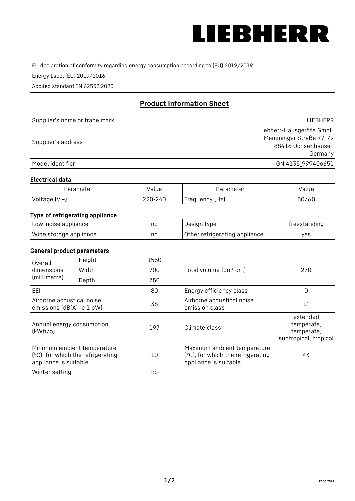

EU declaration of conformity regarding energy consumption according to (EU) 2019/2019

Energy Label (EU) 2019/2016

Applied standard EN 62552:2020

# **Product Information Sheet**

| Supplier's name or trade mark | <b>LIFBHFRR</b>          |
|-------------------------------|--------------------------|
|                               | Liebherr-Hausgeräte GmbH |
|                               | Memminger Straße 77-79   |
| Supplier's address            | 88416 Ochsenhausen       |
|                               | Germany                  |
| Model identifier              | GN 4135_999406651        |

#### **Electrical data**

| Parameter          | Value   | Parameter      | alue/ |
|--------------------|---------|----------------|-------|
| Voltage $(V \sim)$ | 220-240 | Frequency (Hz) | 50/60 |

## **Type of refrigerating appliance**

| Low-noise appliance    | nc | Design type                   | freestanding |
|------------------------|----|-------------------------------|--------------|
| Wine storage appliance | nc | Other refrigerating appliance | ves          |

#### **General product parameters**

| Height<br>Overall                                      |                                                                  | 1550 |                                                                                           |                                                               |
|--------------------------------------------------------|------------------------------------------------------------------|------|-------------------------------------------------------------------------------------------|---------------------------------------------------------------|
| dimensions<br>(millimetre)                             | Width                                                            | 700  | Total volume (dm <sup>3</sup> or l)                                                       | 270                                                           |
|                                                        | Depth                                                            | 750  |                                                                                           |                                                               |
| EEL                                                    |                                                                  | 80   | Energy efficiency class                                                                   | D                                                             |
| Airborne acoustical noise<br>emissions (dB(A) re 1 pW) |                                                                  | 38   | Airborne acoustical noise<br>emission class                                               | С                                                             |
| Annual energy consumption<br>(kWh/a)                   |                                                                  | 197  | Climate class                                                                             | extended<br>temperate,<br>temperate,<br>subtropical, tropical |
| appliance is suitable                                  | Minimum ambient temperature<br>(°C), for which the refrigerating | 10   | Maximum ambient temperature<br>(°C), for which the refrigerating<br>appliance is suitable | 43                                                            |
| Winter setting                                         |                                                                  | no   |                                                                                           |                                                               |